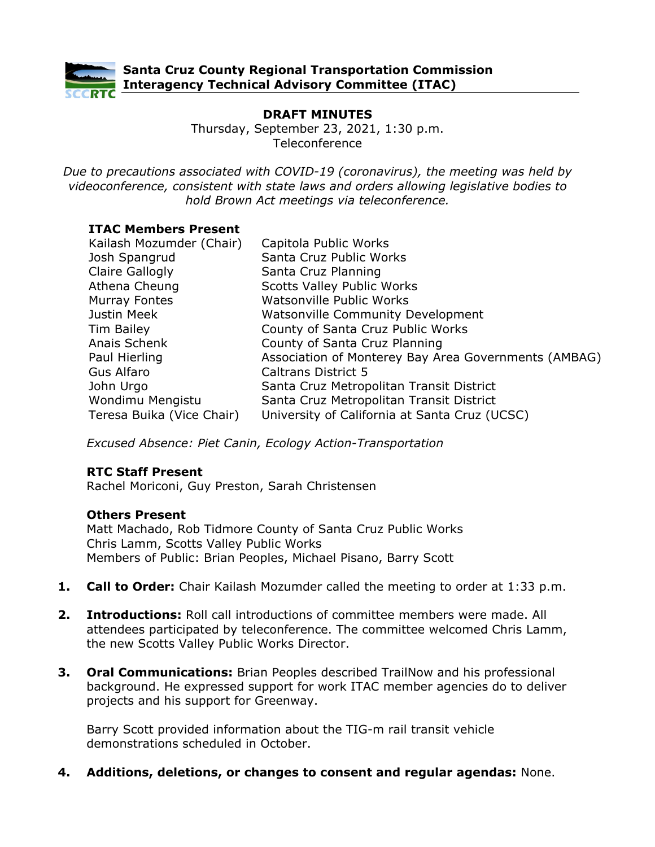

# **DRAFT MINUTES**

Thursday, September 23, 2021, 1:30 p.m. Teleconference

*Due to precautions associated with COVID-19 (coronavirus), the meeting was held by videoconference, consistent with state laws and orders allowing legislative bodies to hold Brown Act meetings via teleconference.*

### **ITAC Members Present**

| Kailash Mozumder (Chair)  | Capitola Public Works                                |
|---------------------------|------------------------------------------------------|
| Josh Spangrud             | Santa Cruz Public Works                              |
| Claire Gallogly           | Santa Cruz Planning                                  |
| Athena Cheung             | <b>Scotts Valley Public Works</b>                    |
| <b>Murray Fontes</b>      | <b>Watsonville Public Works</b>                      |
| Justin Meek               | <b>Watsonville Community Development</b>             |
| Tim Bailey                | County of Santa Cruz Public Works                    |
| Anais Schenk              | County of Santa Cruz Planning                        |
| Paul Hierling             | Association of Monterey Bay Area Governments (AMBAG) |
| Gus Alfaro                | <b>Caltrans District 5</b>                           |
| John Urgo                 | Santa Cruz Metropolitan Transit District             |
| Wondimu Mengistu          | Santa Cruz Metropolitan Transit District             |
| Teresa Buika (Vice Chair) | University of California at Santa Cruz (UCSC)        |

*Excused Absence: Piet Canin, Ecology Action-Transportation* 

# **RTC Staff Present**

Rachel Moriconi, Guy Preston, Sarah Christensen

# **Others Present**

Matt Machado, Rob Tidmore County of Santa Cruz Public Works Chris Lamm, Scotts Valley Public Works Members of Public: Brian Peoples, Michael Pisano, Barry Scott

- **1. Call to Order:** Chair Kailash Mozumder called the meeting to order at 1:33 p.m.
- **2. Introductions:** Roll call introductions of committee members were made. All attendees participated by teleconference. The committee welcomed Chris Lamm, the new Scotts Valley Public Works Director.
- **3. Oral Communications:** Brian Peoples described TrailNow and his professional background. He expressed support for work ITAC member agencies do to deliver projects and his support for Greenway.

Barry Scott provided information about the TIG-m rail transit vehicle demonstrations scheduled in October.

**4. Additions, deletions, or changes to consent and regular agendas:** None.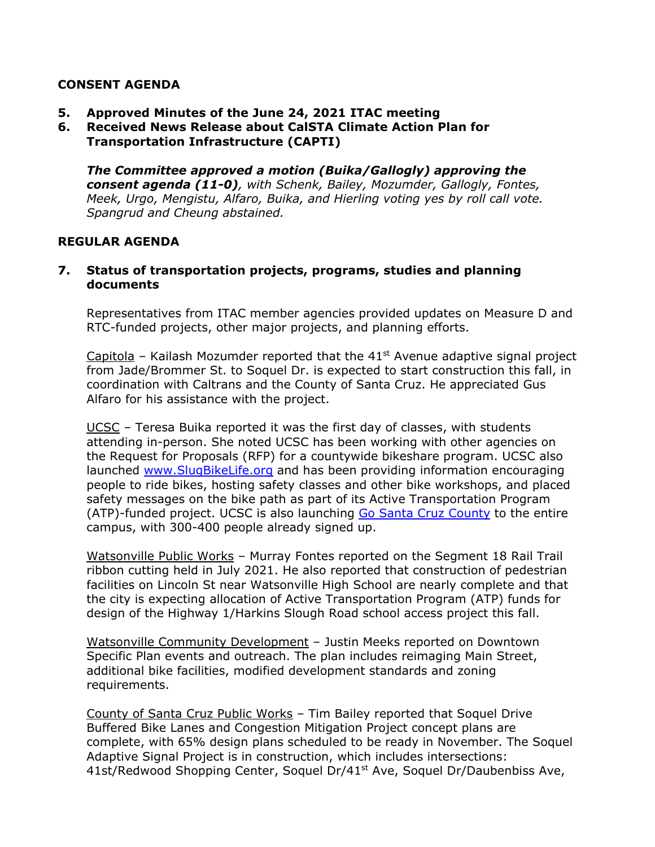### **CONSENT AGENDA**

- **5. Approved Minutes of the June 24, 2021 ITAC meeting**
- **6. Received News Release about CalSTA Climate Action Plan for Transportation Infrastructure (CAPTI)**

*The Committee approved a motion (Buika/Gallogly) approving the consent agenda (11-0), with Schenk, Bailey, Mozumder, Gallogly, Fontes, Meek, Urgo, Mengistu, Alfaro, Buika, and Hierling voting yes by roll call vote. Spangrud and Cheung abstained.* 

#### **REGULAR AGENDA**

#### **7. Status of transportation projects, programs, studies and planning documents**

Representatives from ITAC member agencies provided updates on Measure D and RTC-funded projects, other major projects, and planning efforts.

Capitola – Kailash Mozumder reported that the  $41<sup>st</sup>$  Avenue adaptive signal project from Jade/Brommer St. to Soquel Dr. is expected to start construction this fall, in coordination with Caltrans and the County of Santa Cruz. He appreciated Gus Alfaro for his assistance with the project.

UCSC – Teresa Buika reported it was the first day of classes, with students attending in-person. She noted UCSC has been working with other agencies on the Request for Proposals (RFP) for a countywide bikeshare program. UCSC also launched [www.SlugBikeLife.org](http://www.slugbikelife.org/) and has been providing information encouraging people to ride bikes, hosting safety classes and other bike workshops, and placed safety messages on the bike path as part of its Active Transportation Program (ATP)-funded project. UCSC is also launching [Go Santa Cruz County](https://cruz511.org/goscc/) to the entire campus, with 300-400 people already signed up.

Watsonville Public Works – Murray Fontes reported on the Segment 18 Rail Trail ribbon cutting held in July 2021. He also reported that construction of pedestrian facilities on Lincoln St near Watsonville High School are nearly complete and that the city is expecting allocation of Active Transportation Program (ATP) funds for design of the Highway 1/Harkins Slough Road school access project this fall.

Watsonville Community Development – Justin Meeks reported on Downtown Specific Plan events and outreach. The plan includes reimaging Main Street, additional bike facilities, modified development standards and zoning requirements.

County of Santa Cruz Public Works – Tim Bailey reported that Soquel Drive Buffered Bike Lanes and Congestion Mitigation Project concept plans are complete, with 65% design plans scheduled to be ready in November. The Soquel Adaptive Signal Project is in construction, which includes intersections: 41st/Redwood Shopping Center, Soquel Dr/41<sup>st</sup> Ave, Soquel Dr/Daubenbiss Ave,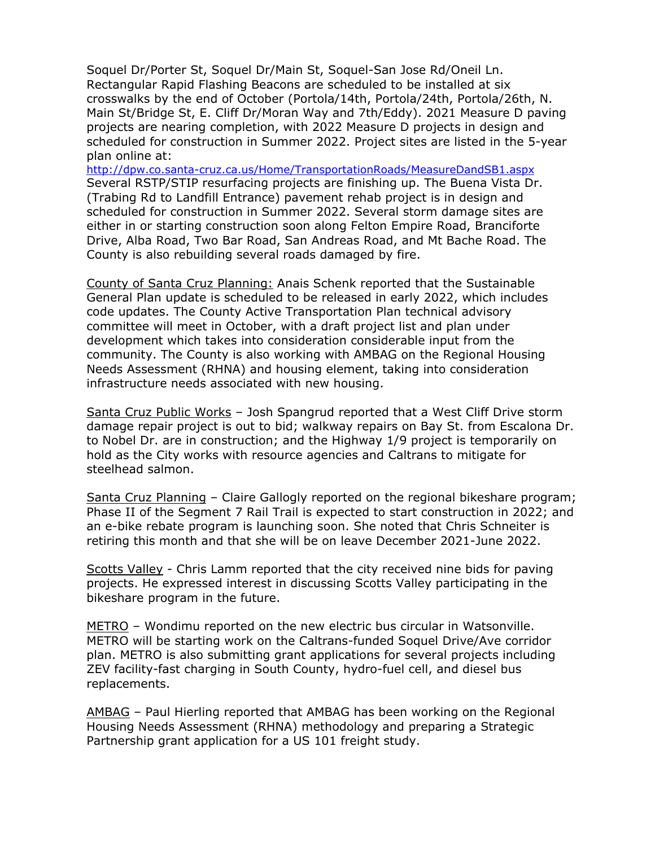Soquel Dr/Porter St, Soquel Dr/Main St, Soquel-San Jose Rd/Oneil Ln. Rectangular Rapid Flashing Beacons are scheduled to be installed at six crosswalks by the end of October (Portola/14th, Portola/24th, Portola/26th, N. Main St/Bridge St, E. Cliff Dr/Moran Way and 7th/Eddy). 2021 Measure D paving projects are nearing completion, with 2022 Measure D projects in design and scheduled for construction in Summer 2022. Project sites are listed in the 5-year plan online at:

<http://dpw.co.santa-cruz.ca.us/Home/TransportationRoads/MeasureDandSB1.aspx> Several RSTP/STIP resurfacing projects are finishing up. The Buena Vista Dr. (Trabing Rd to Landfill Entrance) pavement rehab project is in design and scheduled for construction in Summer 2022. Several storm damage sites are either in or starting construction soon along Felton Empire Road, Branciforte Drive, Alba Road, Two Bar Road, San Andreas Road, and Mt Bache Road. The County is also rebuilding several roads damaged by fire.

County of Santa Cruz Planning: Anais Schenk reported that the Sustainable General Plan update is scheduled to be released in early 2022, which includes code updates. The County Active Transportation Plan technical advisory committee will meet in October, with a draft project list and plan under development which takes into consideration considerable input from the community. The County is also working with AMBAG on the Regional Housing Needs Assessment (RHNA) and housing element, taking into consideration infrastructure needs associated with new housing.

Santa Cruz Public Works – Josh Spangrud reported that a West Cliff Drive storm damage repair project is out to bid; walkway repairs on Bay St. from Escalona Dr. to Nobel Dr. are in construction; and the Highway 1/9 project is temporarily on hold as the City works with resource agencies and Caltrans to mitigate for steelhead salmon.

Santa Cruz Planning – Claire Gallogly reported on the regional bikeshare program; Phase II of the Segment 7 Rail Trail is expected to start construction in 2022; and an e-bike rebate program is launching soon. She noted that Chris Schneiter is retiring this month and that she will be on leave December 2021-June 2022.

Scotts Valley - Chris Lamm reported that the city received nine bids for paving projects. He expressed interest in discussing Scotts Valley participating in the bikeshare program in the future.

METRO – Wondimu reported on the new electric bus circular in Watsonville. METRO will be starting work on the Caltrans-funded Soquel Drive/Ave corridor plan. METRO is also submitting grant applications for several projects including ZEV facility-fast charging in South County, hydro-fuel cell, and diesel bus replacements.

AMBAG – Paul Hierling reported that AMBAG has been working on the Regional Housing Needs Assessment (RHNA) methodology and preparing a Strategic Partnership grant application for a US 101 freight study.